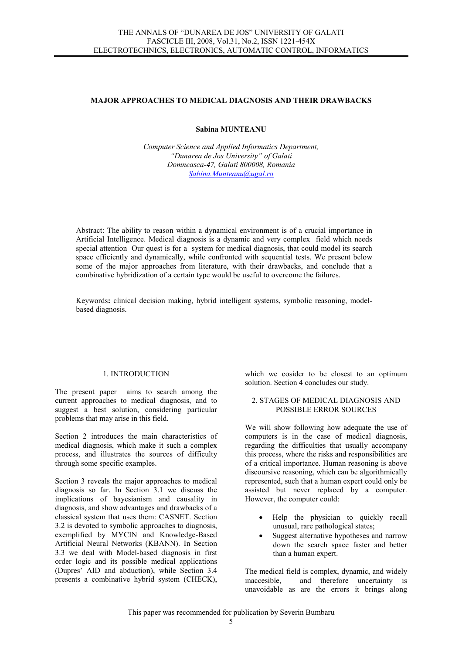### MAJOR APPROACHES TO MEDICAL DIAGNOSIS AND THEIR DRAWBACKS

# Sabina MUNTEANU

Computer Science and Applied Informatics Department, "Dunarea de Jos University" of Galati Domneasca-47, Galati 800008, Romania Sabina.Munteanu@ugal.ro

Abstract: The ability to reason within a dynamical environment is of a crucial importance in Artificial Intelligence. Medical diagnosis is a dynamic and very complex field which needs special attention Our quest is for a system for medical diagnosis, that could model its search space efficiently and dynamically, while confronted with sequential tests. We present below some of the major approaches from literature, with their drawbacks, and conclude that a combinative hybridization of a certain type would be useful to overcome the failures.

Keywords: clinical decision making, hybrid intelligent systems, symbolic reasoning, modelbased diagnosis.

### 1. INTRODUCTION

The present paper aims to search among the current approaches to medical diagnosis, and to suggest a best solution, considering particular problems that may arise in this field.

Section 2 introduces the main characteristics of medical diagnosis, which make it such a complex process, and illustrates the sources of difficulty through some specific examples.

Section 3 reveals the major approaches to medical diagnosis so far. In Section 3.1 we discuss the implications of bayesianism and causality in diagnosis, and show advantages and drawbacks of a classical system that uses them: CASNET. Section 3.2 is devoted to symbolic approaches to diagnosis, exemplified by MYCIN and Knowledge-Based Artificial Neural Networks (KBANN). In Section 3.3 we deal with Model-based diagnosis in first order logic and its possible medical applications (Dupres' AID and abduction), while Section 3.4 presents a combinative hybrid system (CHECK),

which we cosider to be closest to an optimum solution. Section 4 concludes our study.

### 2. STAGES OF MEDICAL DIAGNOSIS AND POSSIBLE ERROR SOURCES

We will show following how adequate the use of computers is in the case of medical diagnosis, regarding the difficulties that usually accompany this process, where the risks and responsibilities are of a critical importance. Human reasoning is above discoursive reasoning, which can be algorithmically represented, such that a human expert could only be assisted but never replaced by a computer. However, the computer could:

- Help the physician to quickly recall unusual, rare pathological states;
- Suggest alternative hypotheses and narrow down the search space faster and better than a human expert.

The medical field is complex, dynamic, and widely inaccesible, and therefore uncertainty is unavoidable as are the errors it brings along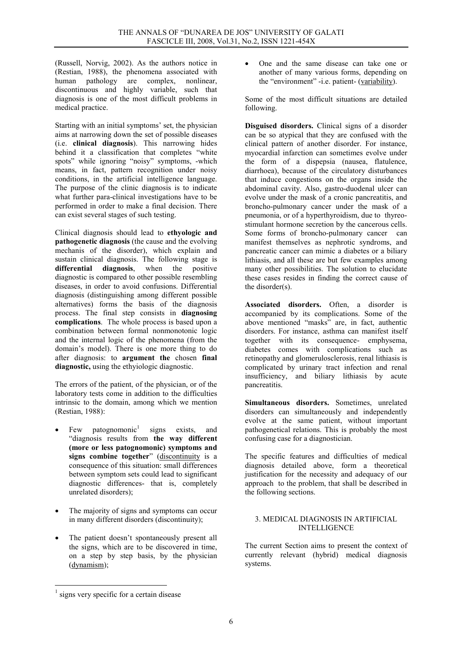(Russell, Norvig, 2002). As the authors notice in (Restian, 1988), the phenomena associated with human pathology are complex, nonlinear, discontinuous and highly variable, such that diagnosis is one of the most difficult problems in medical practice.

Starting with an initial symptoms' set, the physician aims at narrowing down the set of possible diseases (i.e. clinical diagnosis). This narrowing hides behind it a classification that completes "white spots" while ignoring "noisy" symptoms, -which means, in fact, pattern recognition under noisy conditions, in the artificial intelligence language. The purpose of the clinic diagnosis is to indicate what further para-clinical investigations have to be performed in order to make a final decision. There can exist several stages of such testing.

Clinical diagnosis should lead to ethyologic and pathogenetic diagnosis (the cause and the evolving mechanis of the disorder), which explain and sustain clinical diagnosis. The following stage is **differential diagnosis**, when the positive diagnosis, when the positive diagnostic is compared to other possible resembling diseases, in order to avoid confusions. Differential diagnosis (distinguishing among different possible alternatives) forms the basis of the diagnosis process. The final step consists in diagnosing complications. The whole process is based upon a combination between formal nonmonotonic logic and the internal logic of the phenomena (from the domain's model). There is one more thing to do after diagnosis: to argument the chosen final diagnostic, using the ethyiologic diagnostic.

The errors of the patient, of the physician, or of the laboratory tests come in addition to the difficulties intrinsic to the domain, among which we mention (Restian, 1988):

- Few patognomonic<sup>1</sup> signs exists, and "diagnosis results from the way different (more or less patognomonic) symptoms and signs combine together" (discontinuity is a consequence of this situation: small differences between symptom sets could lead to significant diagnostic differences- that is, completely unrelated disorders);
- The majority of signs and symptoms can occur in many different disorders (discontinuity);
- The patient doesn't spontaneously present all the signs, which are to be discovered in time, on a step by step basis, by the physician (dynamism);

Some of the most difficult situations are detailed following.

Disguised disorders. Clinical signs of a disorder can be so atypical that they are confused with the clinical pattern of another disorder. For instance, myocardial infarction can sometimes evolve under the form of a dispepsia (nausea, flatulence, diarrhoea), because of the circulatory disturbances that induce congestions on the organs inside the abdominal cavity. Also, gastro-duodenal ulcer can evolve under the mask of a cronic pancreatitis, and broncho-pulmonary cancer under the mask of a pneumonia, or of a hyperthyroidism, due to thyreostimulant hormone secretion by the cancerous cells. Some forms of broncho-pulmonary cancer can manifest themselves as nephrotic syndroms, and pancreatic cancer can mimic a diabetes or a biliary lithiasis, and all these are but few examples among many other possibilities. The solution to elucidate these cases resides in finding the correct cause of the disorder(s).

Associated disorders. Often, a disorder is accompanied by its complications. Some of the above mentioned "masks" are, in fact, authentic disorders. For instance, asthma can manifest itself together with its consequence- emphysema, diabetes comes with complications such as retinopathy and glomerulosclerosis, renal lithiasis is complicated by urinary tract infection and renal insufficiency, and biliary lithiasis by acute pancreatitis.

Simultaneous disorders. Sometimes, unrelated disorders can simultaneously and independently evolve at the same patient, without important pathogenetical relations. This is probably the most confusing case for a diagnostician.

The specific features and difficulties of medical diagnosis detailed above, form a theoretical justification for the necessity and adequacy of our approach to the problem, that shall be described in the following sections.

#### 3. MEDICAL DIAGNOSIS IN ARTIFICIAL **INTELLIGENCE**

The current Section aims to present the context of currently relevant (hybrid) medical diagnosis systems.

 $\overline{a}$ 

<sup>•</sup> One and the same disease can take one or another of many various forms, depending on the "environment" -i.e. patient- (variability).

<sup>1</sup> signs very specific for a certain disease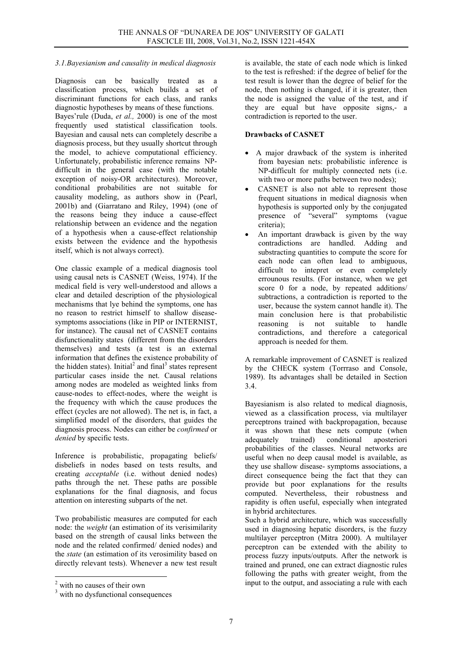## 3.1.Bayesianism and causality in medical diagnosis

Diagnosis can be basically treated as a classification process, which builds a set of discriminant functions for each class, and ranks diagnostic hypotheses by means of these functions. Bayes'rule (Duda, *et al.*, 2000) is one of the most frequently used statistical classification tools. Bayesian and causal nets can completely describe a diagnosis process, but they usually shortcut through the model, to achieve computational efficiency. Unfortunately, probabilistic inference remains NPdifficult in the general case (with the notable exception of noisy-OR architectures). Moreover, conditional probabilities are not suitable for causality modeling, as authors show in (Pearl, 2001b) and (Giarratano and Riley, 1994) (one of the reasons being they induce a cause-effect relationship between an evidence and the negation of a hypothesis when a cause-effect relationship exists between the evidence and the hypothesis itself, which is not always correct).

One classic example of a medical diagnosis tool using causal nets is CASNET (Weiss, 1974). If the medical field is very well-understood and allows a clear and detailed description of the physiological mechanisms that lye behind the symptoms, one has no reason to restrict himself to shallow diseasesymptoms associations (like in PIP or INTERNIST, for instance). The causal net of CASNET contains disfunctionality states (different from the disorders themselves) and tests (a test is an external information that defines the existence probability of the hidden states). Initial<sup>2</sup> and final<sup>3</sup> states represent particular cases inside the net. Causal relations among nodes are modeled as weighted links from cause-nodes to effect-nodes, where the weight is the frequency with which the cause produces the effect (cycles are not allowed). The net is, in fact, a simplified model of the disorders, that guides the diagnosis process. Nodes can either be confirmed or denied by specific tests.

Inference is probabilistic, propagating beliefs/ disbeliefs in nodes based on tests results, and creating acceptable (i.e. without denied nodes) paths through the net. These paths are possible explanations for the final diagnosis, and focus attention on interesting subparts of the net.

Two probabilistic measures are computed for each node: the weight (an estimation of its verisimilarity based on the strength of causal links between the node and the related confirmed/ denied nodes) and the state (an estimation of its verosimility based on directly relevant tests). Whenever a new test result is available, the state of each node which is linked to the test is refreshed: if the degree of belief for the test result is lower than the degree of belief for the node, then nothing is changed, if it is greater, then the node is assigned the value of the test, and if they are equal but have opposite signs,- a contradiction is reported to the user.

### Drawbacks of CASNET

- A major drawback of the system is inherited from bayesian nets: probabilistic inference is NP-difficult for multiply connected nets (i.e. with two or more paths between two nodes);
- CASNET is also not able to represent those frequent situations in medical diagnosis when hypothesis is supported only by the conjugated presence of "several" symptoms (vague criteria);
- An important drawback is given by the way contradictions are handled. Adding and substracting quantities to compute the score for each node can often lead to ambiguous, difficult to intepret or even completely errounous results. (For instance, when we get score 0 for a node, by repeated additions/ subtractions, a contradiction is reported to the user, because the system cannot handle it). The main conclusion here is that probabilistic<br>reasoning is not suitable to handle reasoning is not suitable to contradictions, and therefore a categorical approach is needed for them.

A remarkable improvement of CASNET is realized by the CHECK system (Torrraso and Console, 1989). Its advantages shall be detailed in Section 3.4.

Bayesianism is also related to medical diagnosis, viewed as a classification process, via multilayer perceptrons trained with backpropagation, because it was shown that these nets compute (when adequately trained) conditional aposteriori adequately trained) conditional aposteriori probabilities of the classes. Neural networks are useful when no deep causal model is available, as they use shallow disease- symptoms associations, a direct consequence being the fact that they can provide but poor explanations for the results computed. Nevertheless, their robustness and rapidity is often useful, especially when integrated in hybrid architectures.

Such a hybrid architecture, which was successfully used in diagnosing hepatic disorders, is the fuzzy multilayer perceptron (Mitra 2000). A multilayer perceptron can be extended with the ability to process fuzzy inputs/outputs. After the network is trained and pruned, one can extract diagnostic rules following the paths with greater weight, from the input to the output, and associating a rule with each

<sup>&</sup>lt;sup>2</sup> with no causes of their own

<sup>&</sup>lt;sup>3</sup> with no dysfunctional consequences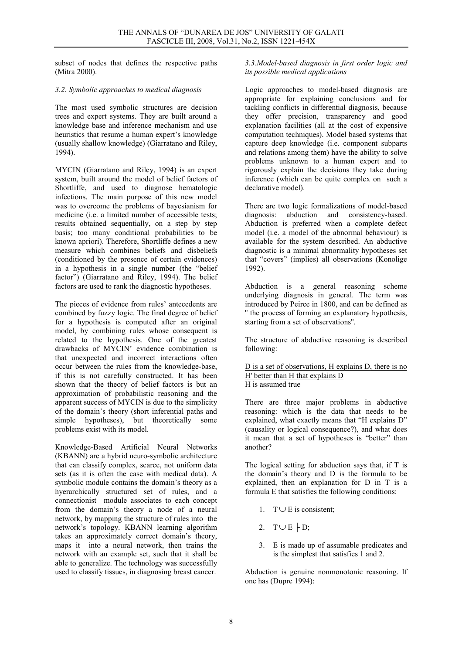subset of nodes that defines the respective paths (Mitra 2000).

### 3.2. Symbolic approaches to medical diagnosis

The most used symbolic structures are decision trees and expert systems. They are built around a knowledge base and inference mechanism and use heuristics that resume a human expert's knowledge (usually shallow knowledge) (Giarratano and Riley, 1994).

MYCIN (Giarratano and Riley, 1994) is an expert system, built around the model of belief factors of Shortliffe, and used to diagnose hematologic infections. The main purpose of this new model was to overcome the problems of bayesianism for medicine (i.e. a limited number of accessible tests; results obtained sequentially, on a step by step basis; too many conditional probabilities to be known apriori). Therefore, Shortliffe defines a new measure which combines beliefs and disbeliefs (conditioned by the presence of certain evidences) in a hypothesis in a single number (the "belief factor") (Giarratano and Riley, 1994). The belief factors are used to rank the diagnostic hypotheses.

The pieces of evidence from rules' antecedents are combined by fuzzy logic. The final degree of belief for a hypothesis is computed after an original model, by combining rules whose consequent is related to the hypothesis. One of the greatest drawbacks of MYCIN' evidence combination is that unexpected and incorrect interactions often occur between the rules from the knowledge-base, if this is not carefully constructed. It has been shown that the theory of belief factors is but an approximation of probabilistic reasoning and the apparent success of MYCIN is due to the simplicity of the domain's theory (short inferential paths and simple hypotheses), but theoretically some problems exist with its model.

Knowledge-Based Artificial Neural Networks (KBANN) are a hybrid neuro-symbolic architecture that can classify complex, scarce, not uniform data sets (as it is often the case with medical data). A symbolic module contains the domain's theory as a hyerarchically structured set of rules, and a connectionist module associates to each concept from the domain's theory a node of a neural network, by mapping the structure of rules into the network's topology. KBANN learning algorithm takes an approximately correct domain's theory, maps it into a neural network, then trains the network with an example set, such that it shall be able to generalize. The technology was successfully used to classify tissues, in diagnosing breast cancer.

3.3.Model-based diagnosis in first order logic and its possible medical applications

Logic approaches to model-based diagnosis are appropriate for explaining conclusions and for tackling conflicts in differential diagnosis, because they offer precision, transparency and good explanation facilities (all at the cost of expensive computation techniques). Model based systems that capture deep knowledge (i.e. component subparts and relations among them) have the ability to solve problems unknown to a human expert and to rigorously explain the decisions they take during inference (which can be quite complex on such a declarative model).

There are two logic formalizations of model-based diagnosis: abduction and consistency-based. abduction and consistency-based. Abduction is preferred when a complete defect model (i.e. a model of the abnormal behaviour) is available for the system described. An abductive diagnostic is a minimal abnormality hypotheses set that "covers" (implies) all observations (Konolige 1992).

Abduction is a general reasoning scheme underlying diagnosis in general. The term was introduced by Peirce in 1800, and can be defined as '' the process of forming an explanatory hypothesis, starting from a set of observations''.

The structure of abductive reasoning is described following:

D is a set of observations, H explains D, there is no H' better than H that explains D H is assumed true

There are three major problems in abductive reasoning: which is the data that needs to be explained, what exactly means that "H explains D" (causality or logical consequence?), and what does it mean that a set of hypotheses is "better" than another?

The logical setting for abduction says that, if T is the domain's theory and D is the formula to be explained, then an explanation for D in T is a formula E that satisfies the following conditions:

- 1. T∪ E is consistent;
- 2. T∪E  $\vdash$  D;
- 3. E is made up of assumable predicates and is the simplest that satisfies 1 and 2.

Abduction is genuine nonmonotonic reasoning. If one has (Dupre 1994):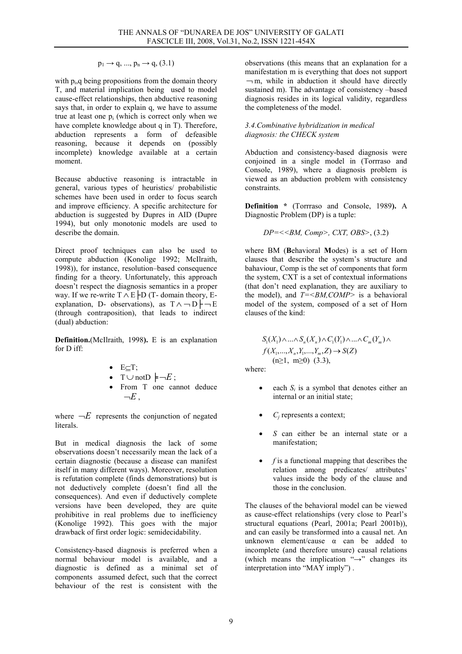$p_1 \rightarrow q, ..., p_n \rightarrow q, (3.1)$ 

with  $p_i$ ,  $q$  being propositions from the domain theory T, and material implication being used to model cause-effect relationships, then abductive reasoning says that, in order to explain q, we have to assume true at least one  $p_i$  (which is correct only when we have complete knowledge about q in T). Therefore, abduction represents a form of defeasible reasoning, because it depends on (possibly incomplete) knowledge available at a certain moment.

Because abductive reasoning is intractable in general, various types of heuristics/ probabilistic schemes have been used in order to focus search and improve efficiency. A specific architecture for abduction is suggested by Dupres in AID (Dupre 1994), but only monotonic models are used to describe the domain.

Direct proof techniques can also be used to compute abduction (Konolige 1992; McIlraith, 1998)), for instance, resolution–based consequence finding for a theory. Unfortunately, this approach doesn't respect the diagnosis semantics in a proper way. If we re-write  $T \wedge E$  |D (T- domain theory, Eexplanation, D- observations), as  $T \wedge \neg D \nvdash \neg E$ (through contraposition), that leads to indirect (dual) abduction:

Definition.(McIlraith, 1998). E is an explanation for D iff:

- $\bullet$  E $\subseteq$ T;
- T∪ notD  $\models \neg E$ ;
- From T one cannot deduce  $-E$

where  $\neg E$  represents the conjunction of negated literals.

But in medical diagnosis the lack of some observations doesn't necessarily mean the lack of a certain diagnostic (because a disease can manifest itself in many different ways). Moreover, resolution is refutation complete (finds demonstrations) but is not deductively complete (doesn't find all the consequences). And even if deductively complete versions have been developed, they are quite prohibitive in real problems due to inefficiency (Konolige 1992). This goes with the major drawback of first order logic: semidecidability.

Consistency-based diagnosis is preferred when a normal behaviour model is available, and a diagnostic is defined as a minimal set of components assumed defect, such that the correct behaviour of the rest is consistent with the observations (this means that an explanation for a manifestation m is everything that does not support  $\neg$  m, while in abduction it should have directly sustained m). The advantage of consistency –based diagnosis resides in its logical validity, regardless the completeness of the model.

### 3.4.Combinative hybridization in medical diagnosis: the CHECK system

Abduction and consistency-based diagnosis were conjoined in a single model in (Torrraso and Console, 1989), where a diagnosis problem is viewed as an abduction problem with consistency constraints.

Definition \* (Torrraso and Console, 1989). A Diagnostic Problem (DP) is a tuple:

$$
DP = \langle \langle B M, Comp \rangle, \, CXT, \, OBS \rangle, \, (3.2)
$$

where BM (Behavioral Modes) is a set of Horn clauses that describe the system's structure and bahaviour, Comp is the set of components that form the system, CXT is a set of contextual informations (that don't need explanation, they are auxiliary to the model), and  $T = \langle BM, COMP \rangle$  is a behavioral model of the system, composed of a set of Horn clauses of the kind:

> $S_1(X_1) \wedge ... \wedge S_n(X_n) \wedge C_1(Y_1) \wedge ... \wedge C_m(Y_m) \wedge$  $f(X_1,...,X_n,Y_1,...,Y_m,Z) \to S(Z)$  $(n≥1, m≥0)$  (3.3),

where:

- each  $S_i$  is a symbol that denotes either an internal or an initial state;
- $C_i$  represents a context;
- S can either be an internal state or a manifestation;
- $f$  is a functional mapping that describes the relation among predicates/ attributes' values inside the body of the clause and those in the conclusion.

The clauses of the behavioral model can be viewed as cause-effect relationships (very close to Pearl's structural equations (Pearl, 2001a; Pearl 2001b)), and can easily be transformed into a causal net. An unknown element/cause  $\alpha$  can be added to incomplete (and therefore unsure) causal relations (which means the implication " $\rightarrow$ " changes its interpretation into "MAY imply") .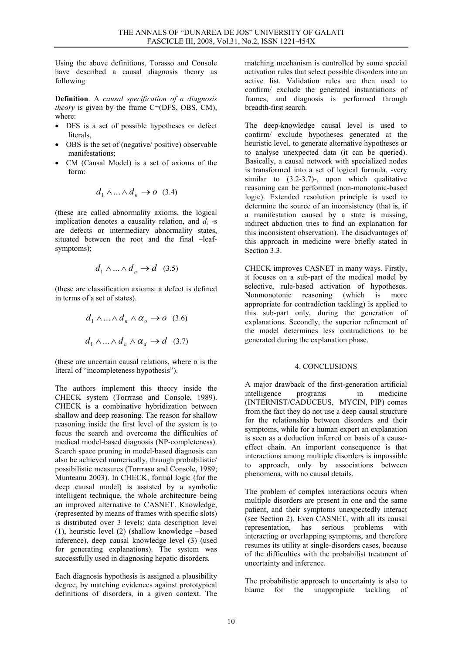Using the above definitions, Torasso and Console have described a causal diagnosis theory as following.

Definition. A causal specification of a diagnosis theory is given by the frame C=(DFS, OBS, CM), where:

- DFS is a set of possible hypotheses or defect literals,
- OBS is the set of (negative/ positive) observable manifestations;
- CM (Causal Model) is a set of axioms of the form:

$$
d_1 \wedge \ldots \wedge d_n \to o \quad (3.4)
$$

(these are called abnormality axioms, the logical implication denotes a causality relation, and  $d_i$  -s are defects or intermediary abnormality states, situated between the root and the final –leafsymptoms);

$$
d_1 \wedge \ldots \wedge d_n \to d \quad (3.5)
$$

(these are classification axioms: a defect is defined in terms of a set of states).

$$
d_1 \wedge \ldots \wedge d_n \wedge \alpha_o \rightarrow o \quad (3.6)
$$
  

$$
d_1 \wedge \ldots \wedge d_n \wedge \alpha_d \rightarrow d \quad (3.7)
$$

(these are uncertain causal relations, where  $\alpha$  is the literal of "incompleteness hypothesis").

The authors implement this theory inside the CHECK system (Torrraso and Console, 1989). CHECK is a combinative hybridization between shallow and deep reasoning. The reason for shallow reasoning inside the first level of the system is to focus the search and overcome the difficulties of medical model-based diagnosis (NP-completeness). Search space pruning in model-based diagnosis can also be achieved numerically, through probabilistic/ possibilistic measures (Torrraso and Console, 1989; Munteanu 2003). In CHECK, formal logic (for the deep causal model) is assisted by a symbolic intelligent technique, the whole architecture being an improved alternative to CASNET. Knowledge, (represented by means of frames with specific slots) is distributed over 3 levels: data description level (1), heuristic level (2) (shallow knowledge –based inference), deep causal knowledge level (3) (used for generating explanations). The system was successfully used in diagnosing hepatic disorders.

Each diagnosis hypothesis is assigned a plausibility degree, by matching evidences against prototypical definitions of disorders, in a given context. The matching mechanism is controlled by some special activation rules that select possible disorders into an active list. Validation rules are then used to confirm/ exclude the generated instantiations of frames, and diagnosis is performed through breadth-first search.

The deep-knowledge causal level is used to confirm/ exclude hypotheses generated at the heuristic level, to generate alternative hypotheses or to analyse unexpected data (it can be queried). Basically, a causal network with specialized nodes is transformed into a set of logical formula, -very similar to (3.2-3.7)-, upon which qualitative reasoning can be performed (non-monotonic-based logic). Extended resolution principle is used to determine the source of an inconsistency (that is, if a manifestation caused by a state is missing, indirect abduction tries to find an explanation for this inconsistent observation). The disadvantages of this approach in medicine were briefly stated in Section 3.3.

CHECK improves CASNET in many ways. Firstly, it focuses on a sub-part of the medical model by selective, rule-based activation of hypotheses. Nonmonotonic reasoning (which is more appropriate for contradiction tackling) is applied to this sub-part only, during the generation of explanations. Secondly, the superior refinement of the model determines less contradictions to be generated during the explanation phase.

### 4. CONCLUSIONS

A major drawback of the first-generation artificial intelligence programs in medicine (INTERNIST/CADUCEUS, MYCIN, PIP) comes from the fact they do not use a deep causal structure for the relationship between disorders and their symptoms, while for a human expert an explanation is seen as a deduction inferred on basis of a causeeffect chain. An important consequence is that interactions among multiple disorders is impossible to approach, only by associations between phenomena, with no causal details.

The problem of complex interactions occurs when multiple disorders are present in one and the same patient, and their symptoms unexpectedly interact (see Section 2). Even CASNET, with all its causal representation, has serious problems with interacting or overlapping symptoms, and therefore resumes its utility at single-disorders cases, because of the difficulties with the probabilist treatment of uncertainty and inference.

The probabilistic approach to uncertainty is also to blame for the unappropriate tackling of blame for the unappropiate tackling of